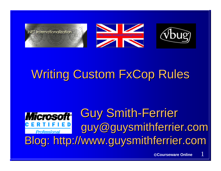





# **Writing Custom FxCop Rules**

#### **Guy Smith-Ferrier** guy@guysmithferrier.com Professional Blog: http://www.guysmithferrier.com

1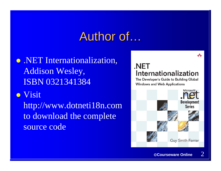## Author of…

• .NET Internationalization, Addison Wesley, ISBN 0321341384

**•** Visit

http://www.dotneti18n.com to download the complete source code

#### .NET Internationalization

The Developer's Guide to Building Global **Windows and Web Applications** 

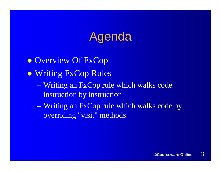## Agenda

**• Overview Of FxCop • Writing FxCop Rules**  $\mathcal{L}_{\mathcal{A}}$  Writing an FxCop rule which walks code instruction by instruction Writing an FxCop rule which walks code by overriding "visit" methods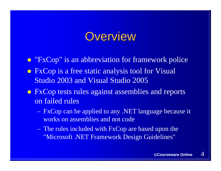#### **Overview**

• "FxCop" is an abbreviation for framework police

- FxCop is a free static analysis tool for Visual Studio 2003 and Visual Studio 2005
- FxCop tests rules against assemblies and reports on failed rules
	- FxCop can be applied to any .NET language because it works on assemblies and not code
	- The rules included with FxCop are based upon the "Microsoft .NET Framework Design Guidelines"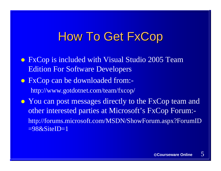### **How To Get FxCop**

- FxCop is included with Visual Studio 2005 Team Edition For Software Developers
- FxCop can be downloaded from:http://www.gotdotnet.com/team/fxcop/
- You can post messages directly to the FxCop team and other interested parties at Microsoft's FxCop Forum: http://forums.microsoft.com/MSDN/ShowForum.aspx?ForumID  $=98&$ SiteID=1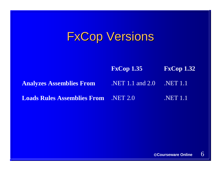## **FxCop Versions**

**FxCop 1.35 FxCop 1.32 Analyzes Assemblies From** .NET 1.1 and 2.0 .NET 1.1 **Loads Rules Assemblies From**.NET 2.0 NET 1.1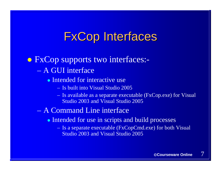## **FxCop Interfaces**

• FxCop supports two interfaces:-– A GUI interface

• Intended for interactive use

- Is built into Visual Studio 2005
- Is available as a separate executable (FxCop.exe) for Visual Studio 2003 and Visual Studio 2005

#### – A Command Line interface

- Intended for use in scripts and build processes
	- Is a separate executable (FxCopCmd.exe) for both Visual Studio 2003 and Visual Studio 2005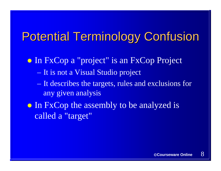## **Potential Terminology Confusion**

**• In FxCop a "project" is an FxCop Project** – It is not a Visual Studio project – It describes the targets, rules and exclusions for any given analysis • In FxCop the assembly to be analyzed is

called a "target"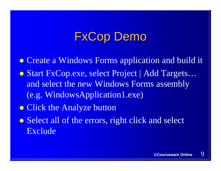## FxCop Demo

• Create a Windows Forms application and build it **• Start FxCop.exe, select Project | Add Targets...** and select the new Windows Forms assembly (e.g. WindowsApplication1.exe) • Click the Analyze button • Select all of the errors, right click and select Exclude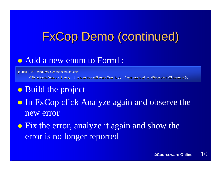## **FxCop Demo (continued)**

#### • Add a new enum to Form1:-

public enum CheeseEnum {SmokedAustrian, JapaneseSageDerby, VenezuelanBeaverCheese};

- Build the project
- In FxCop click Analyze again and observe the new error
- Fix the error, analyze it again and show the error is no longer reported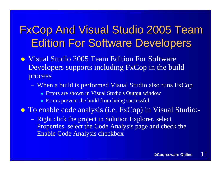## **FxCop And Visual Studio 2005 Team Edition For Software Developers**

- Visual Studio 2005 Team Edition For Software Developers supports including FxCop in the build process
	- When a build is performed Visual Studio also runs FxCop
		- Errors are shown in Visual Studio's Output window
		- Errors prevent the build from being successful

• To enable code analysis (i.e. FxCop) in Visual Studio:-

– Right click the project in Solution Explorer, select Properties, select the Code Analysis page and check the Enable Code Analysis checkbox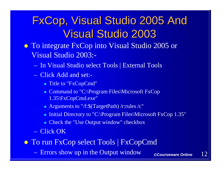## FxCop, Visual Studio 2005 And **Visual Studio 2003**

- To integrate FxCop into Visual Studio 2005 or Visual Studio 2003:-
	- In Visual Studio select Tools | External Tools
	- Click Add and set:-
		- Title to "FxCopCmd"
		- Command to "C:\Program Files\Microsoft FxCop 1.35\FxCopCmd.exe"
		- Arguments to "/f:\$(TargetPath) /r:rules /c"
		- Initial Directory to "C:\Program Files\Microsoft FxCop 1.35"
		- Check the "Use Output window" checkbox
	- Click OK
- **To run FxCop select Tools | FxCopCmd** 
	- Errors show up in the Output window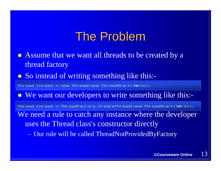## The Problem

- Assume that we want all threads to be created by a thread factory
- So instead of writing something like this:-

Thread thread = new Thread(new ThreadStart(Work));

• We want our developers to write something like this:-

We need a rule to catch any instance where the developer uses the Thread class's constructor directly Thread thread = ThreadFactory.CreateThread(new ThreadStart(Work));

– Our rule will be called ThreadNotProvidedByFactory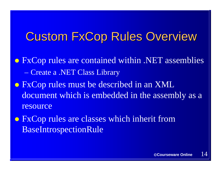## **Custom FxCop Rules Overview**

- FxCop rules are contained within .NET assemblies Create a .NET Class Library
- FxCop rules must be described in an XML document which is embedded in the assembly as a resource
- FxCop rules are classes which inherit from BaseIntrospectionRule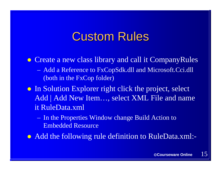## **Custom Rules**

• Create a new class library and call it CompanyRules – Add a Reference to FxCopSdk.dll and Microsoft.Cci.dll (both in the FxCop folder)

- In Solution Explorer right click the project, select Add | Add New Item…, select XML File and name it RuleData.xml
	- In the Properties Window change Build Action to Embedded Resource

• Add the following rule definition to RuleData.xml:-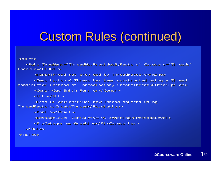## Custom Rules (continued)

```
<Rules> <Rules><Rule TypeName="ThreadNotProvidedByFactory" Category="Threads"
CheckI d="C0001">
      <Name>Thread not provided by ThreadFactory</Name>
      <Description>A Thread has been constructed using a Thread
constructor instead of ThreadFactory. CreateThread</Description>
      <Owner>Guy Smith-Ferrier</Owner>
       <Url></Url><Resolution>Construct new Thread objects using
ThreadFactory. CreateThread</Resolution>
       <Email></Email> <Email></Email><MessageLevel Certainty="99">Warning</MessageLevel>
       <Fi xCategori es>Breaki ng</Fi xCategori es>
   </Rule> </Rule></Rules> </Rules>
```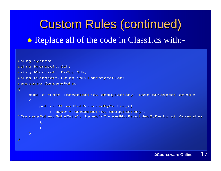# Custom Rules (continued) • Replace all of the code in Class1.cs with:-

```
using System;
using Microsoft.Cci;
using Microsoft.FxCop.Sdk;
using Microsoft.FxCop.Sdk.Introspection;
namespace CompanyRules
\left\{ \right.public class ThreadNotProvidedByFactory: BaseIntrospectionRule
     \left\{ \right.public ThreadNotProvidedByFactory()
: base("ThreadNotProvidedByFactory",<br>CompanyRules.RuleData", typeof(ThreadNotProvidedByFactory).Assembly)"
           \left| \right|}
     }
}<br>}
```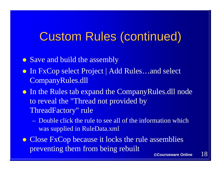## Custom Rules (continued)

• Save and build the assembly

- In FxCop select Project | Add Rules…and select CompanyRules.dll
- In the Rules tab expand the CompanyRules.dll node to reveal the "Thread not provided by ThreadFactory" rule
	- –Double click the rule to see all of the information which was supplied in RuleData.xml
- Close FxCop because it locks the rule assemblies preventing them from being rebuilt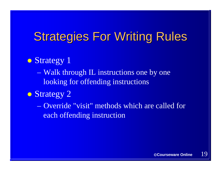## **Strategies For Writing Rules**

#### • Strategy 1

– Walk through IL instructions one by one looking for offending instructions

#### • Strategy 2

–Override "visit" methods which are called for each offending instruction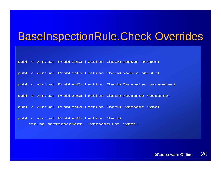#### **BaseInspectionRule.Check Overrides**

public virtual ProblemCollection Check(Member member) public virtual ProblemCollection Check(Module module) public virtual ProblemCollection Check(Parameter parameter) public virtual ProblemCollection Check(Resource resource) public virtual ProblemCollection Check(TypeNode type) public virtual ProblemCollection Check( string namespaceName, TypeNodeList types)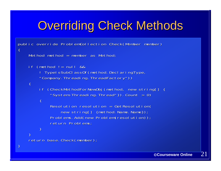## **Overriding Check Methods**

```
public override ProblemCollection Check(Member member)
\left| \right|Method method = member as Method;
    if (method != null &8! TypeIsSubClassOf(method.DeclaringType,
        "Company. Threading. ThreadFactory"))
    \{if (CheckMethodForNewObj(method, new string[] {
             "System. Threading. Thread" }). Count > 0)
        {
             Resolution resolution = GetResolution \epsilonnew string[] {method.Name.Name}};
             Problems.Add(new Problem(resolution));
             return Problems;
        }
    }
    return base. Check(member);
}
```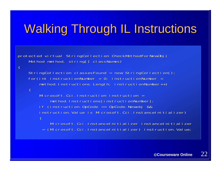# Walking Through IL Instructions

protected virtual StringCollection CheckMethodForNewObj ( Method method, string[] classNames)

 $\left| \right|$ 

 $\left| \right|$ 

```
StringCollection classesFound = new StringCollection();
for(int instructionNumber = 0; instructionNumber <
    method.Instructions.Length; instructionNumber++)
```
Microsoft.Cci.Instruction instruction = method.Instructions[instructionNumber]; if (instruction.OpCode  $==$  OpCode.Newobj && instruction.Value is Microsoft.Cci.InstanceInitializer $\rule{1em}{0.75mm}$  $\left| \right|$ 

Microsoft.Cci.InstanceInitializer instanceInitializer = (Microsoft.Cci.InstanceInitializer) instruction.Value;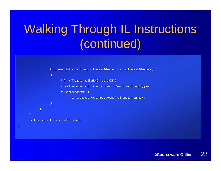# Walking Through IL Instructions (continued) (continued)



}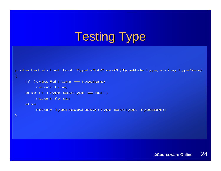# **Testing Type**

```
protected virtual bool TypeIsSubClass Of(TypeNode type, string typeName)
\{if (type. FullName == typeName)
        return true;
    else if (type.BaseType == null)
        return false;
    elsereturn TypeIsSubClassOf(type.BaseType, typeName);
}
```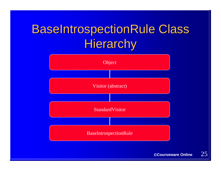## **BaseIntrospectionRule Class** Hierarchy

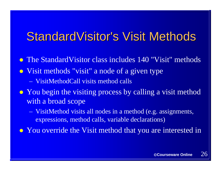#### StandardVisitor's Visit Methods

- The StandardVisitor class includes 140 "Visit" methods • Visit methods "visit" a node of a given type – VisitMethodCall visits method calls
- You begin the visiting process by calling a visit method with a broad scope
	- VisitMethod visits all nodes in a method (e.g. assignments, expressions, method calls, variable declarations)
- You override the Visit method that you are interested in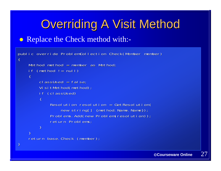## **Overriding A Visit Method**

#### • Replace the Check method with:-

```
public override ProblemCollection Check(Member member)
{ 
    Method method = member as Method;
    if (method != null)\left\{ \right.cl assUsed = false;
         VisitMethod(method);
         if (classUsed)
         \left\{ \right.Resolution resolution = GetResolution \epsilonnew string[] {method.Name.Name}};
             Problems.Add(new Problem(resolution));
             return Problems;
         }
    }
    return base.Check (member);
}
```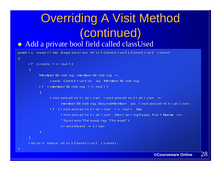# **Overriding A Visit Method** (continued) (continued)

#### • Add a private bool field called classUsed

public override Expression VisitConstruct (Construct cons)

```
if (cons != null)
```
 $\left| \right|$ 

 $\left| \right|$ 

}

}

}

```
MemberBinding memberBinding =
    cons.Constructor as MemberBinding
if (memberBinding != null)
\left\{ \right.InstanceInitializer instanceInitializer =
        memberBinding. BoundMember as InstanceInitializer;
    if (instanceInitializer != null &&
        instanceInitializer.DeclaringType.FullName ==
        "System. Threading. Thread")
```
classUsed = true;

return base.VisitConstruct (cons);